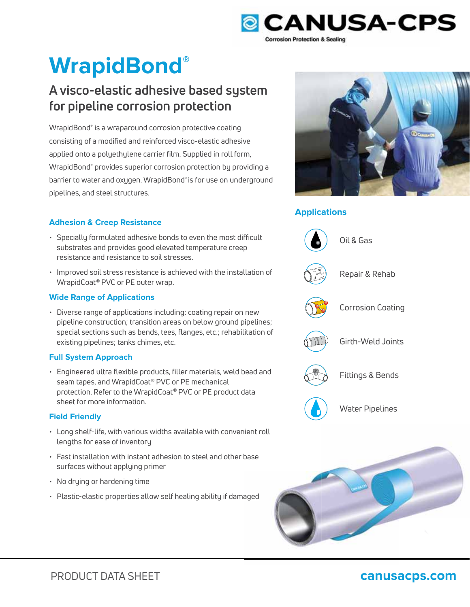

# **WrapidBond®**

## **A visco-elastic adhesive based system for pipeline corrosion protection**

WrapidBond® is a wraparound corrosion protective coating consisting of a modified and reinforced visco-elastic adhesive applied onto a polyethylene carrier film. Supplied in roll form, WrapidBond® provides superior corrosion protection by providing a barrier to water and oxygen. WrapidBond® is for use on underground pipelines, and steel structures.

#### **Adhesion & Creep Resistance**

- Specially formulated adhesive bonds to even the most difficult substrates and provides good elevated temperature creep resistance and resistance to soil stresses.
- Improved soil stress resistance is achieved with the installation of WrapidCoat® PVC or PE outer wrap.

#### **Wide Range of Applications**

• Diverse range of applications including: coating repair on new pipeline construction; transition areas on below ground pipelines; special sections such as bends, tees, flanges, etc.; rehabilitation of existing pipelines; tanks chimes, etc.

#### **Full System Approach**

• Engineered ultra flexible products, filler materials, weld bead and seam tapes, and WrapidCoat® PVC or PE mechanical protection. Refer to the WrapidCoat® PVC or PE product data sheet for more information.

#### **Field Friendly**

- Long shelf-life, with various widths available with convenient roll lengths for ease of inventory
- Fast installation with instant adhesion to steel and other base base surfaces without applying primer
- No drying or hardening time
- Plastic-elastic properties allow self healing ability if damaged aged



### **Applications**



### PRODUCT DATA SHEET **canusacps.com**